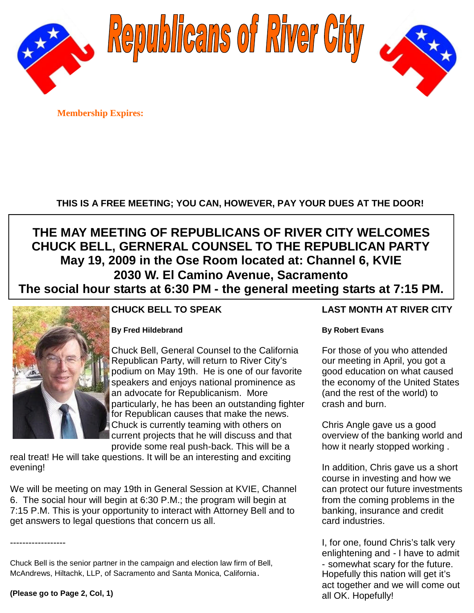

Republicans of River City



**Membership Expires:**

# **THIS IS A FREE MEETING; YOU CAN, HOWEVER, PAY YOUR DUES AT THE DOOR!**

# **THE MAY MEETING OF REPUBLICANS OF RIVER CITY WELCOMES CHUCK BELL, GERNERAL COUNSEL TO THE REPUBLICAN PARTY May 19, 2009 in the Ose Room located at: Channel 6, KVIE 2030 W. El Camino Avenue, Sacramento The social hour starts at 6:30 PM - the general meeting starts at 7:15 PM.**



# **CHUCK BELL TO SPEAK**

## **By Fred Hildebrand**

Chuck Bell, General Counsel to the California Republican Party, will return to River City's podium on May 19th. He is one of our favorite speakers and enjoys national prominence as an advocate for Republicanism. More particularly, he has been an outstanding fighter for Republican causes that make the news. Chuck is currently teaming with others on current projects that he will discuss and that provide some real push-back. This will be a

real treat! He will take questions. It will be an interesting and exciting evening!

We will be meeting on may 19th in General Session at KVIE, Channel 6. The social hour will begin at 6:30 P.M.; the program will begin at 7:15 P.M. This is your opportunity to interact with Attorney Bell and to get answers to legal questions that concern us all.

Chuck Bell is the senior partner in the campaign and election law firm of Bell, McAndrews, Hiltachk, LLP, of Sacramento and Santa Monica, California.

# **LAST MONTH AT RIVER CITY**

#### **By Robert Evans**

For those of you who attended our meeting in April, you got a good education on what caused the economy of the United States (and the rest of the world) to crash and burn.

Chris Angle gave us a good overview of the banking world and how it nearly stopped working .

In addition, Chris gave us a short course in investing and how we can protect our future investments from the coming problems in the banking, insurance and credit card industries.

I, for one, found Chris's talk very enlightening and - I have to admit - somewhat scary for the future. Hopefully this nation will get it's act together and we will come out all OK. Hopefully!

------------------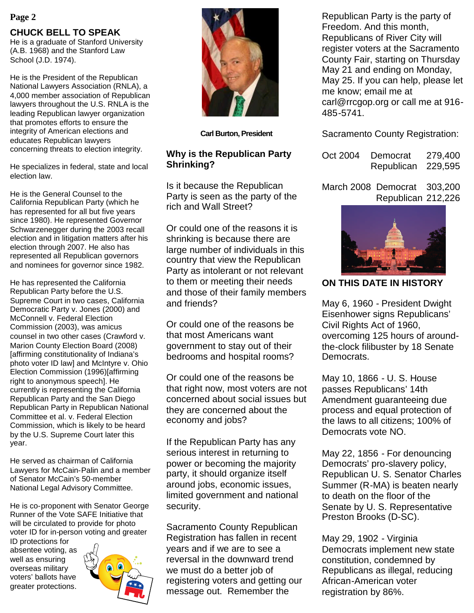#### **Page 2**

# **CHUCK BELL TO SPEAK**

He is a graduate of Stanford University (A.B. 1968) and the Stanford Law School (J.D. 1974).

He is the President of the Republican National Lawyers Association (RNLA), a 4,000 member association of Republican lawyers throughout the U.S. RNLA is the leading Republican lawyer organization that promotes efforts to ensure the integrity of American elections and educates Republican lawyers concerning threats to election integrity.

He specializes in federal, state and local election law.

He is the General Counsel to the California Republican Party (which he has represented for all but five years since 1980). He represented Governor Schwarzenegger during the 2003 recall election and in litigation matters after his election through 2007. He also has represented all Republican governors and nominees for governor since 1982.

He has represented the California Republican Party before the U.S. Supreme Court in two cases, California Democratic Party v. Jones (2000) and McConnell v. Federal Election Commission (2003), was amicus counsel in two other cases (Crawford v. Marion County Election Board (2008) [affirming constitutionality of Indiana's photo voter ID law] and McIntyre v. Ohio Election Commission (1996)[affirming right to anonymous speech]. He currently is representing the California Republican Party and the San Diego Republican Party in Republican National Committee et al. v. Federal Election Commission, which is likely to be heard by the U.S. Supreme Court later this year.

He served as chairman of California Lawyers for McCain-Palin and a member of Senator McCain's 50-member National Legal Advisory Committee.

He is co-proponent with Senator George Runner of the Vote SAFE Initiative that will be circulated to provide for photo voter ID for in-person voting and greater

ID protections for absentee voting, as well as ensuring overseas military voters' ballots have greater protections.





**Carl Burton, President**

### **Why is the Republican Party Shrinking?**

Is it because the Republican Party is seen as the party of the rich and Wall Street?

Or could one of the reasons it is shrinking is because there are large number of individuals in this country that view the Republican Party as intolerant or not relevant to them or meeting their needs and those of their family members and friends?

Or could one of the reasons be that most Americans want government to stay out of their bedrooms and hospital rooms?

Or could one of the reasons be that right now, most voters are not concerned about social issues but they are concerned about the economy and jobs?

If the Republican Party has any serious interest in returning to power or becoming the majority party, it should organize itself around jobs, economic issues, limited government and national security.

Sacramento County Republican Registration has fallen in recent years and if we are to see a reversal in the downward trend we must do a better job of registering voters and getting our message out. Remember the

Republican Party is the party of Freedom. And this month, Republicans of River City will register voters at the Sacramento County Fair, starting on Thursday May 21 and ending on Monday, May 25. If you can help, please let me know; email me at carl@rrcgop.org or call me at 916- 485-5741.

Sacramento County Registration:

| Oct 2004 | Democrat   | 279,400 |
|----------|------------|---------|
|          | Republican | 229,595 |

March 2008 Democrat 303,200 Republican 212,226



# **ON THIS DATE IN HISTORY**

May 6, 1960 - President Dwight Eisenhower signs Republicans' Civil Rights Act of 1960, overcoming 125 hours of aroundthe-clock filibuster by 18 Senate Democrats.

May 10, 1866 - U. S. House passes Republicans' 14th Amendment guaranteeing due process and equal protection of the laws to all citizens; 100% of Democrats vote NO.

May 22, 1856 - For denouncing Democrats' pro-slavery policy, Republican U. S. Senator Charles Summer (R-MA) is beaten nearly to death on the floor of the Senate by U. S. Representative Preston Brooks (D-SC).

May 29, 1902 - Virginia Democrats implement new state constitution, condemned by Republicans as illegal, reducing African-American voter registration by 86%.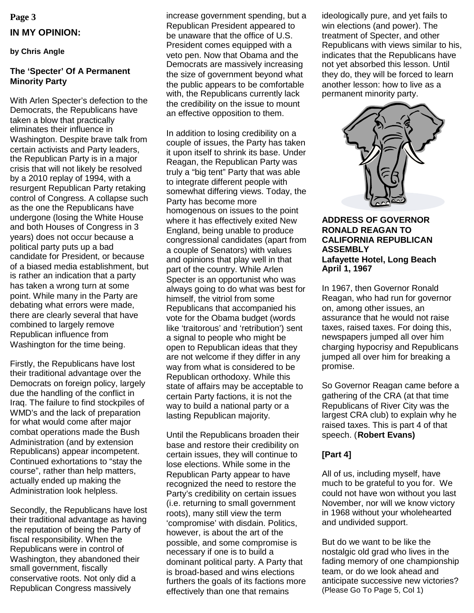# **Page 3 IN MY OPINION:**

#### **by Chris Angle**

#### **The 'Specter' Of A Permanent Minority Party**

With Arlen Specter's defection to the Democrats, the Republicans have taken a blow that practically eliminates their influence in Washington. Despite brave talk from certain activists and Party leaders, the Republican Party is in a major crisis that will not likely be resolved by a 2010 replay of 1994, with a resurgent Republican Party retaking control of Congress. A collapse such as the one the Republicans have undergone (losing the White House and both Houses of Congress in 3 years) does not occur because a political party puts up a bad candidate for President, or because of a biased media establishment, but is rather an indication that a party has taken a wrong turn at some point. While many in the Party are debating what errors were made, there are clearly several that have combined to largely remove Republican influence from Washington for the time being.

Firstly, the Republicans have lost their traditional advantage over the Democrats on foreign policy, largely due the handling of the conflict in Iraq. The failure to find stockpiles of WMD's and the lack of preparation for what would come after major combat operations made the Bush Administration (and by extension Republicans) appear incompetent. Continued exhortations to "stay the course", rather than help matters, actually ended up making the Administration look helpless.

Secondly, the Republicans have lost their traditional advantage as having the reputation of being the Party of fiscal responsibility. When the Republicans were in control of Washington, they abandoned their small government, fiscally conservative roots. Not only did a Republican Congress massively

increase government spending, but a Republican President appeared to be unaware that the office of U.S. President comes equipped with a veto pen. Now that Obama and the Democrats are massively increasing the size of government beyond what the public appears to be comfortable with, the Republicans currently lack the credibility on the issue to mount an effective opposition to them.

In addition to losing credibility on a couple of issues, the Party has taken it upon itself to shrink its base. Under Reagan, the Republican Party was truly a "big tent" Party that was able to integrate different people with somewhat differing views. Today, the Party has become more homogenous on issues to the point where it has effectively exited New England, being unable to produce congressional candidates (apart from a couple of Senators) with values and opinions that play well in that part of the country. While Arlen Specter is an opportunist who was always going to do what was best for himself, the vitriol from some Republicans that accompanied his vote for the Obama budget (words like 'traitorous' and 'retribution') sent a signal to people who might be open to Republican ideas that they are not welcome if they differ in any way from what is considered to be Republican orthodoxy. While this state of affairs may be acceptable to certain Party factions, it is not the way to build a national party or a lasting Republican majority.

Until the Republicans broaden their base and restore their credibility on certain issues, they will continue to lose elections. While some in the Republican Party appear to have recognized the need to restore the Party's credibility on certain issues (i.e. returning to small government roots), many still view the term 'compromise' with disdain. Politics, however, is about the art of the possible, and some compromise is necessary if one is to build a dominant political party. A Party that is broad-based and wins elections furthers the goals of its factions more effectively than one that remains

ideologically pure, and yet fails to win elections (and power). The treatment of Specter, and other Republicans with views similar to his, indicates that the Republicans have not yet absorbed this lesson. Until they do, they will be forced to learn another lesson: how to live as a permanent minority party.



#### **ADDRESS OF GOVERNOR RONALD REAGAN TO CALIFORNIA REPUBLICAN ASSEMBLY Lafayette Hotel, Long Beach April 1, 1967**

In 1967, then Governor Ronald Reagan, who had run for governor on, among other issues, an assurance that he would not raise taxes, raised taxes. For doing this, newspapers jumped all over him charging hypocrisy and Republicans jumped all over him for breaking a promise.

So Governor Reagan came before a gathering of the CRA (at that time Republicans of River City was the largest CRA club) to explain why he raised taxes. This is part 4 of that speech. (**Robert Evans)**

#### **[Part 4]**

All of us, including myself, have much to be grateful to you for. We could not have won without you last November, nor will we know victory in 1968 without your wholehearted and undivided support.

But do we want to be like the nostalgic old grad who lives in the fading memory of one championship team, or do we look ahead and anticipate successive new victories? (Please Go To Page 5, Col 1)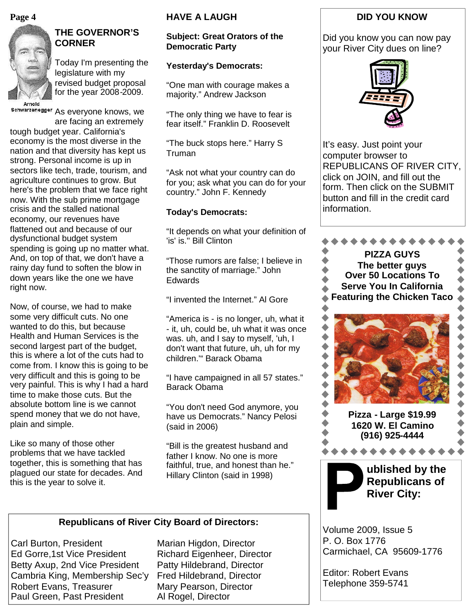#### **Page 4**



# **THE GOVERNOR'S CORNER**

Today I'm presenting the legislature with my revised budget proposal for the year 2008-2009.

schwarzenegger As everyone knows, we

are facing an extremely tough budget year. California's economy is the most diverse in the nation and that diversity has kept us strong. Personal income is up in sectors like tech, trade, tourism, and agriculture continues to grow. But here's the problem that we face right now. With the sub prime mortgage crisis and the stalled national economy, our revenues have flattened out and because of our dysfunctional budget system spending is going up no matter what. And, on top of that, we don't have a rainy day fund to soften the blow in down years like the one we have right now.

Now, of course, we had to make some very difficult cuts. No one wanted to do this, but because Health and Human Services is the second largest part of the budget, this is where a lot of the cuts had to come from. I know this is going to be very difficult and this is going to be very painful. This is why I had a hard time to make those cuts. But the absolute bottom line is we cannot spend money that we do not have, plain and simple.

Like so many of those other problems that we have tackled together, this is something that has plagued our state for decades. And this is the year to solve it.

### **HAVE A LAUGH**

#### **Subject: Great Orators of the Democratic Party**

#### **Yesterday's Democrats:**

"One man with courage makes a majority." Andrew Jackson

"The only thing we have to fear is fear itself." Franklin D. Roosevelt

"The buck stops here." Harry S Truman

"Ask not what your country can do for you; ask what you can do for your country." John F. Kennedy

#### **Today's Democrats:**

"It depends on what your definition of 'is' is.'' Bill Clinton

"Those rumors are false; I believe in the sanctity of marriage." John **Edwards** 

"I invented the Internet." Al Gore

"America is - is no longer, uh, what it - it, uh, could be, uh what it was once was. uh, and I say to myself, 'uh, I don't want that future, uh, uh for my children.'" Barack Obama

"I have campaigned in all 57 states." Barack Obama

"You don't need God anymore, you have us Democrats." Nancy Pelosi (said in 2006)

"Bill is the greatest husband and father I know. No one is more faithful, true, and honest than he." Hillary Clinton (said in 1998)

#### **Republicans of River City Board of Directors:**

Carl Burton, President Marian Higdon, Director Ed Gorre, 1st Vice President Richard Eigenheer, Director Betty Axup, 2nd Vice President Patty Hildebrand, Director Cambria King, Membership Sec'y Fred Hildebrand, Director Robert Evans, Treasurer Mary Pearson, Director Paul Green, Past President Al Rogel, Director

## **DID YOU KNOW**

Did you know you can now pay your River City dues on line?



It's easy. Just point your computer browser to REPUBLICANS OF RIVER CITY, click on JOIN, and fill out the form. Then click on the SUBMIT button and fill in the credit card information.



Volume 2009, Issue 5 P. O. Box 1776 Carmichael, CA 95609-1776

Editor: Robert Evans Telephone 359-5741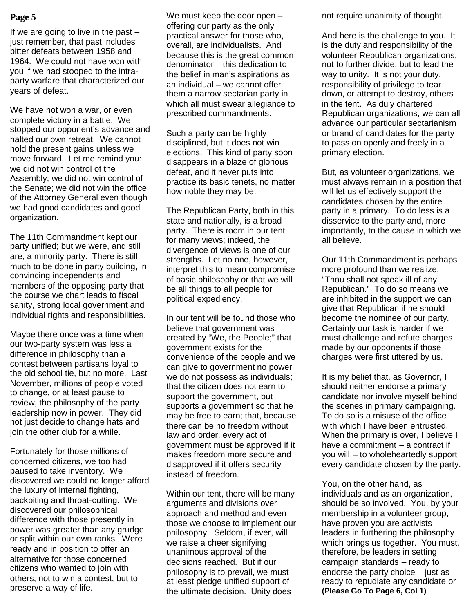If we are going to live in the past  $$ just remember, that past includes bitter defeats between 1958 and 1964. We could not have won with you if we had stooped to the intraparty warfare that characterized our years of defeat.

We have not won a war, or even complete victory in a battle. We stopped our opponent's advance and halted our own retreat. We cannot hold the present gains unless we move forward. Let me remind you: we did not win control of the Assembly; we did not win control of the Senate; we did not win the office of the Attorney General even though we had good candidates and good organization.

The 11th Commandment kept our party unified; but we were, and still are, a minority party. There is still much to be done in party building, in convincing independents and members of the opposing party that the course we chart leads to fiscal sanity, strong local government and individual rights and responsibilities.

Maybe there once was a time when our two-party system was less a difference in philosophy than a contest between partisans loyal to the old school tie, but no more. Last November, millions of people voted to change, or at least pause to review, the philosophy of the party leadership now in power. They did not just decide to change hats and join the other club for a while.

Fortunately for those millions of concerned citizens, we too had paused to take inventory. We discovered we could no longer afford the luxury of internal fighting, backbiting and throat-cutting. We discovered our philosophical difference with those presently in power was greater than any grudge or split within our own ranks. Were ready and in position to offer an alternative for those concerned citizens who wanted to join with others, not to win a contest, but to preserve a way of life.

**Page 5** Ne must keep the door open  $-$  not require unanimity of thought. We must keep the door open – offering our party as the only practical answer for those who, overall, are individualists. And because this is the great common denominator – this dedication to the belief in man's aspirations as an individual – we cannot offer them a narrow sectarian party in which all must swear allegiance to prescribed commandments.

> Such a party can be highly disciplined, but it does not win elections. This kind of party soon disappears in a blaze of glorious defeat, and it never puts into practice its basic tenets, no matter how noble they may be.

> The Republican Party, both in this state and nationally, is a broad party. There is room in our tent for many views; indeed, the divergence of views is one of our strengths. Let no one, however, interpret this to mean compromise of basic philosophy or that we will be all things to all people for political expediency.

> In our tent will be found those who believe that government was created by "We, the People;" that government exists for the convenience of the people and we can give to government no power we do not possess as individuals; that the citizen does not earn to support the government, but supports a government so that he may be free to earn; that, because there can be no freedom without law and order, every act of government must be approved if it makes freedom more secure and disapproved if it offers security instead of freedom.

> Within our tent, there will be many arguments and divisions over approach and method and even those we choose to implement our philosophy. Seldom, if ever, will we raise a cheer signifying unanimous approval of the decisions reached. But if our philosophy is to prevail, we must at least pledge unified support of the ultimate decision. Unity does

And here is the challenge to you. It is the duty and responsibility of the volunteer Republican organizations, not to further divide, but to lead the way to unity. It is not your duty, responsibility of privilege to tear down, or attempt to destroy, others in the tent. As duly chartered Republican organizations, we can all advance our particular sectarianism or brand of candidates for the party to pass on openly and freely in a primary election.

But, as volunteer organizations, we must always remain in a position that will let us effectively support the candidates chosen by the entire party in a primary. To do less is a disservice to the party and, more importantly, to the cause in which we all believe.

Our 11th Commandment is perhaps more profound than we realize. "Thou shall not speak ill of any Republican." To do so means we are inhibited in the support we can give that Republican if he should become the nominee of our party. Certainly our task is harder if we must challenge and refute charges made by our opponents if those charges were first uttered by us.

It is my belief that, as Governor, I should neither endorse a primary candidate nor involve myself behind the scenes in primary campaigning. To do so is a misuse of the office with which I have been entrusted. When the primary is over, I believe I have a commitment – a contract if you will – to wholeheartedly support every candidate chosen by the party.

You, on the other hand, as individuals and as an organization, should be so involved. You, by your membership in a volunteer group, have proven you are activists – leaders in furthering the philosophy which brings us together. You must, therefore, be leaders in setting campaign standards – ready to endorse the party choice – just as ready to repudiate any candidate or **(Please Go To Page 6, Col 1)**